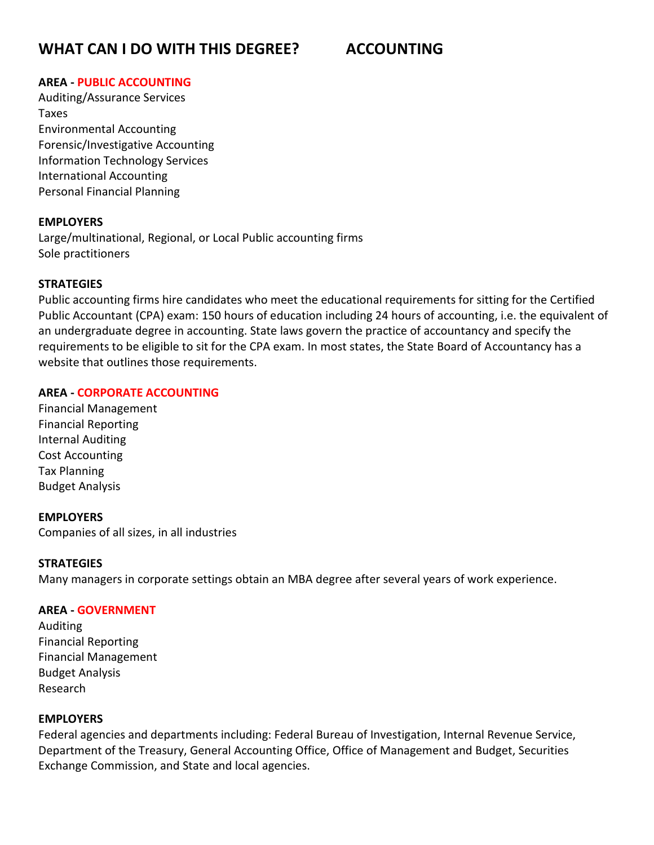# **WHAT CAN I DO WITH THIS DEGREE? ACCOUNTING**

### **AREA - PUBLIC ACCOUNTING**

Auditing/Assurance Services Taxes Environmental Accounting Forensic/Investigative Accounting Information Technology Services International Accounting Personal Financial Planning

#### **EMPLOYERS**

Large/multinational, Regional, or Local Public accounting firms Sole practitioners

### **STRATEGIES**

Public accounting firms hire candidates who meet the educational requirements for sitting for the Certified Public Accountant (CPA) exam: 150 hours of education including 24 hours of accounting, i.e. the equivalent of an undergraduate degree in accounting. State laws govern the practice of accountancy and specify the requirements to be eligible to sit for the CPA exam. In most states, the State Board of Accountancy has a website that outlines those requirements.

### **AREA - CORPORATE ACCOUNTING**

Financial Management Financial Reporting Internal Auditing Cost Accounting Tax Planning Budget Analysis

#### **EMPLOYERS**

Companies of all sizes, in all industries

#### **STRATEGIES**

Many managers in corporate settings obtain an MBA degree after several years of work experience.

#### **AREA - GOVERNMENT**

Auditing Financial Reporting Financial Management Budget Analysis Research

#### **EMPLOYERS**

Federal agencies and departments including: Federal Bureau of Investigation, Internal Revenue Service, Department of the Treasury, General Accounting Office, Office of Management and Budget, Securities Exchange Commission, and State and local agencies.